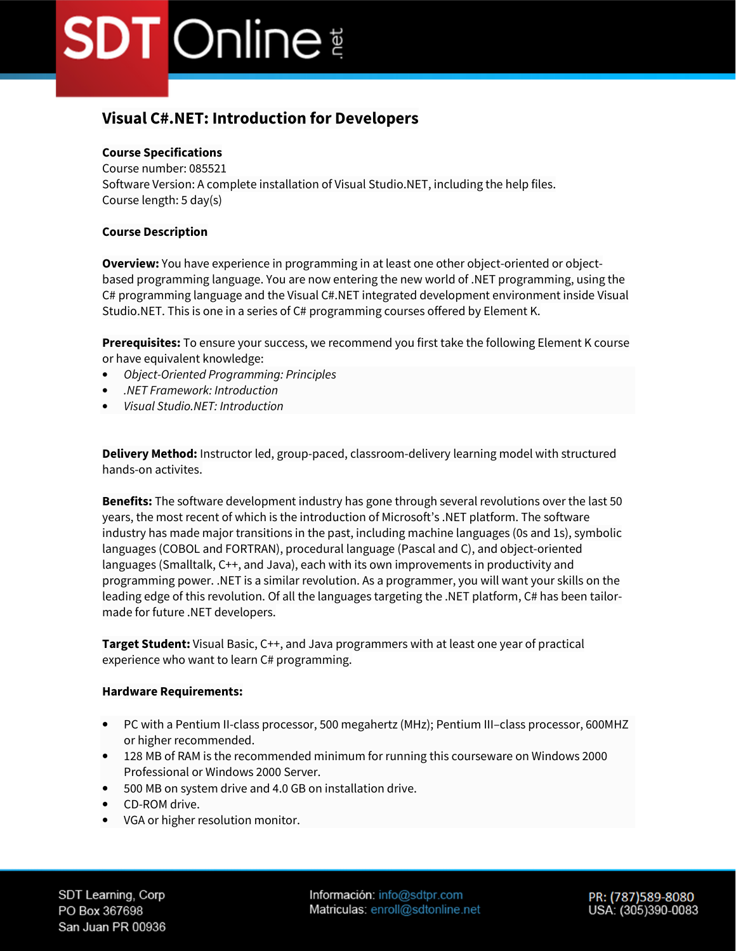### **Visual C#.NET: Introduction for Developers**

### **Course Specifications**

Course number: 085521 Software Version: A complete installation of Visual Studio.NET, including the help files. Course length: 5 day(s)

### **Course Description**

**Overview:** You have experience in programming in at least one other object-oriented or objectbased programming language. You are now entering the new world of .NET programming, using the C# programming language and the Visual C#.NET integrated development environment inside Visual Studio.NET. This is one in a series of C# programming courses offered by Element K.

**Prerequisites:** To ensure your success, we recommend you first take the following Element K course or have equivalent knowledge:

- *Object-Oriented Programming: Principles*
- *.NET Framework: Introduction*
- *Visual Studio.NET: Introduction*

**Delivery Method:** Instructor led, group-paced, classroom-delivery learning model with structured hands-on activites.

**Benefits:** The software development industry has gone through several revolutions over the last 50 years, the most recent of which is the introduction of Microsoft's .NET platform. The software industry has made major transitions in the past, including machine languages (0s and 1s), symbolic languages (COBOL and FORTRAN), procedural language (Pascal and C), and object-oriented languages (Smalltalk, C++, and Java), each with its own improvements in productivity and programming power. .NET is a similar revolution. As a programmer, you will want your skills on the leading edge of this revolution. Of all the languages targeting the .NET platform, C# has been tailormade for future .NET developers.

**Target Student:** Visual Basic, C++, and Java programmers with at least one year of practical experience who want to learn C# programming.

### **Hardware Requirements:**

- PC with a Pentium II-class processor, 500 megahertz (MHz); Pentium III–class processor, 600MHZ or higher recommended.
- 128 MB of RAM is the recommended minimum for running this courseware on Windows 2000 Professional or Windows 2000 Server.
- 500 MB on system drive and 4.0 GB on installation drive.
- CD-ROM drive.
- VGA or higher resolution monitor.

SDT Learning, Corp PO Box 367698 San Juan PR 00936 Información: info@sdtpr.com Matriculas: enroll@sdtonline.net PR: (787)589-8080 USA: (305)390-0083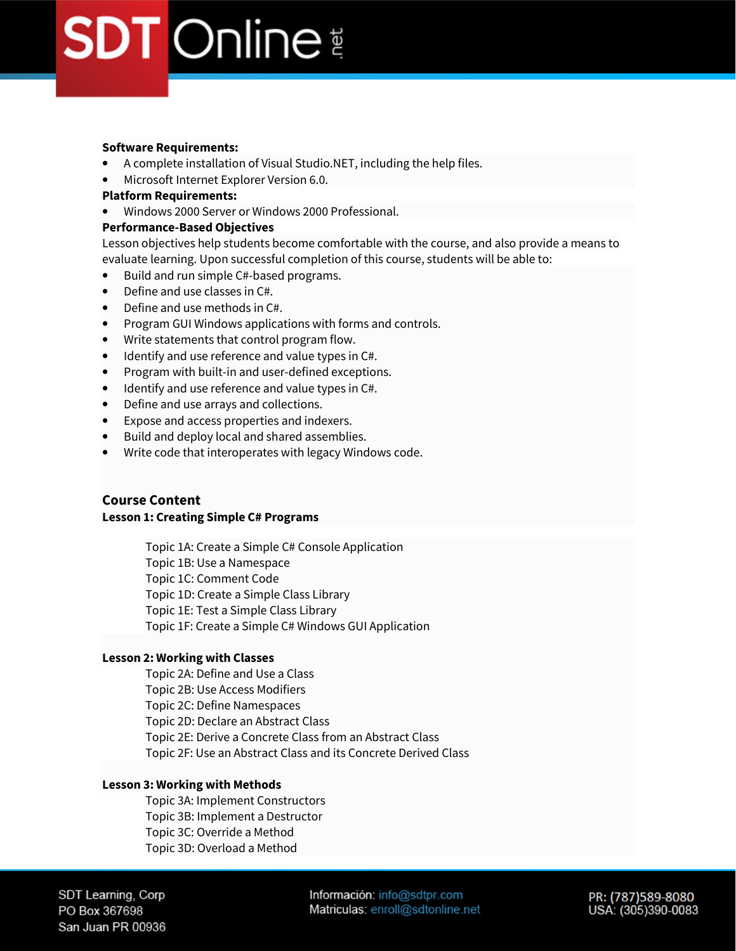### **Software Requirements:**

- A complete installation of Visual Studio.NET, including the help files.
- Microsoft Internet Explorer Version 6.0.

#### **Platform Requirements:**

• Windows 2000 Server or Windows 2000 Professional.

#### **Performance-Based Objectives**

Lesson objectives help students become comfortable with the course, and also provide a means to evaluate learning. Upon successful completion of this course, students will be able to:

- Build and run simple C#-based programs.
- Define and use classes in C#.
- Define and use methods in C#.
- Program GUI Windows applications with forms and controls.
- Write statements that control program flow.
- Identify and use reference and value types in C#.
- Program with built-in and user-defined exceptions.
- Identify and use reference and value types in C#.
- Define and use arrays and collections.
- Expose and access properties and indexers.
- Build and deploy local and shared assemblies.
- Write code that interoperates with legacy Windows code.

### **Course Content**

### **Lesson 1: Creating Simple C# Programs**

Topic 1A: Create a Simple C# Console Application

Topic 1B: Use a Namespace

Topic 1C: Comment Code

Topic 1D: Create a Simple Class Library

Topic 1E: Test a Simple Class Library

Topic 1F: Create a Simple C# Windows GUI Application

### **Lesson 2: Working with Classes**

Topic 2A: Define and Use a Class Topic 2B: Use Access Modifiers Topic 2C: Define Namespaces Topic 2D: Declare an Abstract Class Topic 2E: Derive a Concrete Class from an Abstract Class Topic 2F: Use an Abstract Class and its Concrete Derived Class

### **Lesson 3: Working with Methods**

Topic 3A: Implement Constructors Topic 3B: Implement a Destructor Topic 3C: Override a Method Topic 3D: Overload a Method

SDT Learning, Corp PO Box 367698 San Juan PR 00936 Información: info@sdtpr.com Matriculas: enroll@sdtonline.net

PR: (787)589-8080 USA: (305)390-0083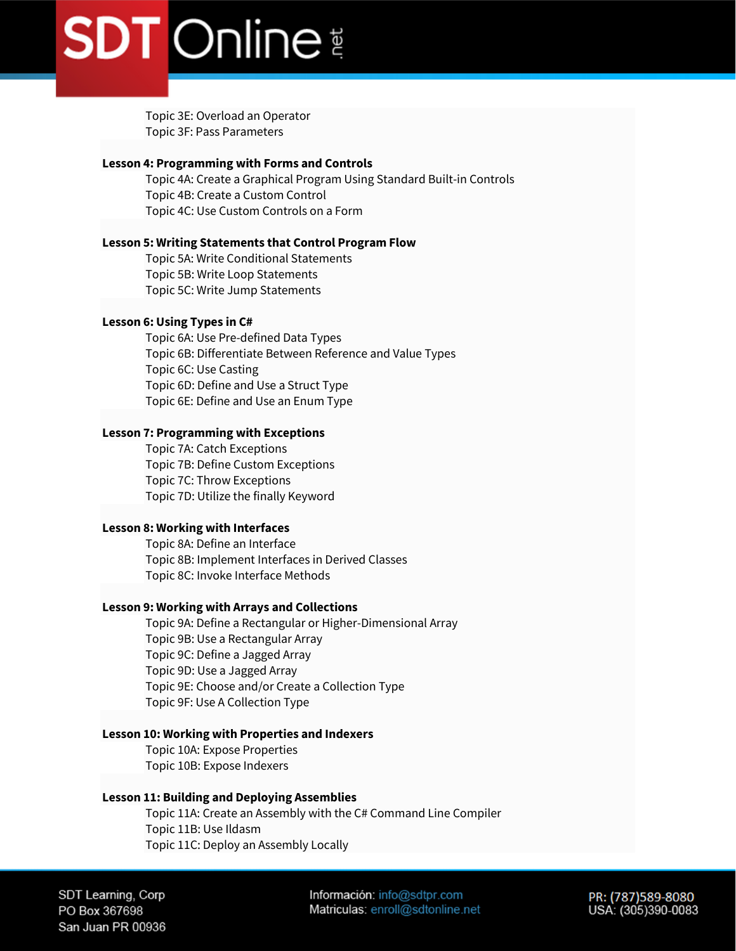Topic 3E: Overload an Operator Topic 3F: Pass Parameters

### **Lesson 4: Programming with Forms and Controls**

Topic 4A: Create a Graphical Program Using Standard Built-in Controls Topic 4B: Create a Custom Control Topic 4C: Use Custom Controls on a Form

### **Lesson 5: Writing Statements that Control Program Flow**

Topic 5A: Write Conditional Statements Topic 5B: Write Loop Statements Topic 5C: Write Jump Statements

### **Lesson 6: Using Types in C#**

Topic 6A: Use Pre-defined Data Types Topic 6B: Differentiate Between Reference and Value Types Topic 6C: Use Casting Topic 6D: Define and Use a Struct Type Topic 6E: Define and Use an Enum Type

### **Lesson 7: Programming with Exceptions**

Topic 7A: Catch Exceptions Topic 7B: Define Custom Exceptions Topic 7C: Throw Exceptions Topic 7D: Utilize the finally Keyword

### **Lesson 8: Working with Interfaces**

Topic 8A: Define an Interface Topic 8B: Implement Interfaces in Derived Classes Topic 8C: Invoke Interface Methods

### **Lesson 9: Working with Arrays and Collections**

Topic 9A: Define a Rectangular or Higher-Dimensional Array Topic 9B: Use a Rectangular Array Topic 9C: Define a Jagged Array Topic 9D: Use a Jagged Array Topic 9E: Choose and/or Create a Collection Type Topic 9F: Use A Collection Type

### **Lesson 10: Working with Properties and Indexers**

Topic 10A: Expose Properties Topic 10B: Expose Indexers

### **Lesson 11: Building and Deploying Assemblies**

Topic 11A: Create an Assembly with the C# Command Line Compiler Topic 11B: Use Ildasm Topic 11C: Deploy an Assembly Locally

SDT Learning, Corp PO Box 367698 San Juan PR 00936 Información: info@sdtpr.com Matriculas: enroll@sdtonline.net PR: (787)589-8080 USA: (305)390-0083